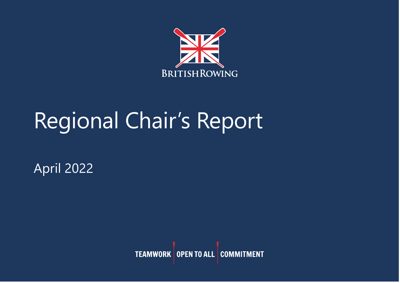

# Regional Chair's Report

April 2022

**TEAMWORK** OPEN TO ALL COMMITMENT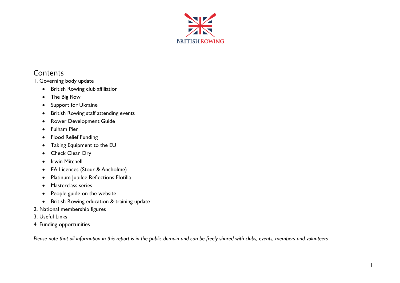

# **Contents**

1. Governing body update

- British Rowing club affiliation
- The Big Row
- Support for Ukraine
- British Rowing staff attending events
- Rower Development Guide
- Fulham Pier
- Flood Relief Funding
- Taking Equipment to the EU
- Check Clean Dry
- Irwin Mitchell
- EA Licences (Stour & Ancholme)
- Platinum Jubilee Reflections Flotilla
- Masterclass series
- People guide on the website
- British Rowing education & training update
- 2. National membership figures
- 3. Useful Links
- 4. Funding opportunities

*Please note that all information in this report is in the public domain and can be freely shared with clubs, events, members and volunteers*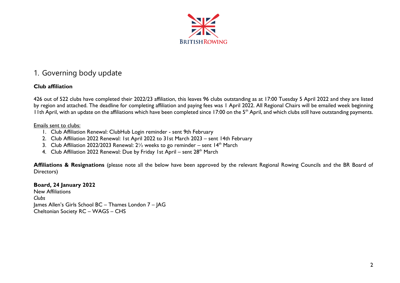

# 1. Governing body update

### **Club affiliation**

426 out of 522 clubs have completed their 2022/23 affiliation, this leaves 96 clubs outstanding as at 17:00 Tuesday 5 April 2022 and they are listed by region and attached. The deadline for completing affiliation and paying fees was 1 April 2022. All Regional Chairs will be emailed week beginning 11th April, with an update on the affiliations which have been completed since 17:00 on the 5<sup>th</sup> April, and which clubs still have outstanding payments.

#### Emails sent to clubs:

- 1. Club Affiliation Renewal: ClubHub Login reminder sent 9th February
- 2. Club Affiliation 2022 Renewal: 1st April 2022 to 31st March 2023 sent 14th February
- 3. Club Affiliation 2022/2023 Renewal:  $2\frac{1}{2}$  weeks to go reminder sent 14<sup>th</sup> March
- 4. Club Affiliation 2022 Renewal: Due by Friday 1st April sent 28<sup>th</sup> March

**Affiliations & Resignations** (please note all the below have been approved by the relevant Regional Rowing Councils and the BR Board of Directors)

**Board, 24 January 2022** New Affiliations *Clubs* James Allen's Girls School BC – Thames London 7 – JAG Cheltonian Society RC – WAGS – CHS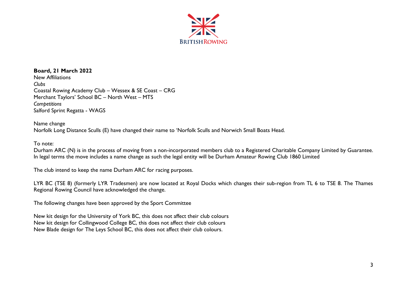

#### **Board, 21 March 2022**

New Affiliations *Clubs* Coastal Rowing Academy Club – Wessex & SE Coast – CRG Merchant Taylors' School BC – North West – MTS *Competitions* Salford Sprint Regatta - WAGS

#### Name change

Norfolk Long Distance Sculls (E) have changed their name to 'Norfolk Sculls and Norwich Small Boats Head.

#### To note:

Durham ARC (N) is in the process of moving from a non-incorporated members club to a Registered Charitable Company Limited by Guarantee. In legal terms the move includes a name change as such the legal entity will be Durham Amateur Rowing Club 1860 Limited

The club intend to keep the name Durham ARC for racing purposes.

LYR BC (TSE 8) (formerly LYR Tradesmen) are now located at Royal Docks which changes their sub-region from TL 6 to TSE 8. The Thames Regional Rowing Council have acknowledged the change.

The following changes have been approved by the Sport Committee

New kit design for the University of York BC, this does not affect their club colours New kit design for Collingwood College BC, this does not affect their club colours New Blade design for The Leys School BC, this does not affect their club colours.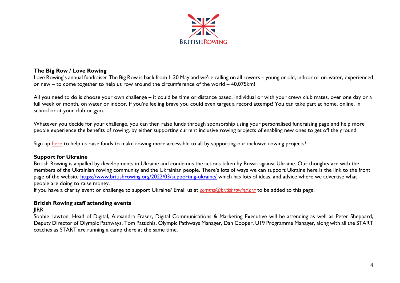

#### **The Big Row / Love Rowing**

Love Rowing's annual fundraiser The Big Row is back from 1-30 May and we're calling on all rowers – young or old, indoor or on-water, experienced or new – to come together to help us row around the circumference of the world – 40,075km!

All you need to do is choose your own challenge – it could be time or distance based, individual or with your crew/ club mates, over one day or a full week or month, on water or indoor. If you're feeling brave you could even target a record attempt! You can take part at home, online, in school or at your club or gym.

Whatever you decide for your challenge, you can then raise funds through sponsorship using your personalised fundraising page and help more people experience the benefits of rowing, by either supporting current inclusive rowing projects of enabling new ones to get off the ground.

Sign up [here](https://register.enthuse.com/ps/event/TheBigRow2022) to help us raise funds to make rowing more accessible to all by supporting our inclusive rowing projects!

#### **Support for Ukraine**

British Rowing is appalled by developments in Ukraine and condemns the actions taken by Russia against Ukraine. Our thoughts are with the members of the Ukrainian rowing community and the Ukrainian people. There's lots of ways we can support Ukraine here is the link to the front page of the website<https://www.britishrowing.org/2022/03/supporting-ukraine/> which has lots of ideas, and advice where we advertise what people are doing to raise money.

If you have a charity event or challenge to support Ukraine? Email us at *[comms@britishrowing.org](mailto:comms@britishrowing.org)* to be added to this page.

#### **British Rowing staff attending events**

JIRR

Sophie Lawton, Head of Digital, Alexandra Fraser, Digital Communications & Marketing Executive will be attending as well as Peter Sheppard, Deputy Director of Olympic Pathways, Tom Pattichis, Olympic Pathways Manager, Dan Cooper, U19 Programme Manager, along with all the START coaches as START are running a camp there at the same time.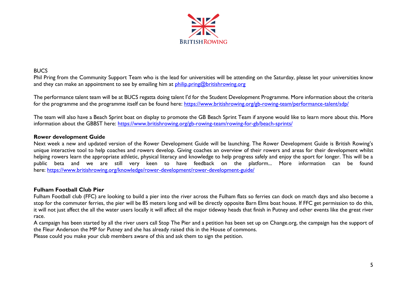

#### **BUCS**

Phil Pring from the Community Support Team who is the lead for universities will be attending on the Saturday, please let your universities know and they can make an appointment to see by emailing him at  $\frac{\text{philip}}{\text{Unif}}(Q\text{britishrowing}.\text{org})$ 

The performance talent team will be at BUCS regatta doing talent I'd for the Student Development Programme. More information about the criteria for the programme and the programme itself can be found here: <https://www.britishrowing.org/gb-rowing-team/performance-talent/sdp/>

The team will also have a Beach Sprint boat on display to promote the GB Beach Sprint Team if anyone would like to learn more about this. More information about the GBBST here: <https://www.britishrowing.org/gb-rowing-team/rowing-for-gb/beach-sprints/>

#### **Rower development Guide**

Next week a new and updated version of the Rower Development Guide will be launching. The Rower Development Guide is British Rowing's unique interactive tool to help coaches and rowers develop. Giving coaches an overview of their rowers and areas for their development whilst helping rowers learn the appropriate athletic, physical literacy and knowledge to help progress safely and enjoy the sport for longer. This will be a public beta and we are still very keen to have feedback on the platform... More information can be found here: <https://www.britishrowing.org/knowledge/rower-development/rower-development-guide/>

#### **Fulham Football Club Pier**

Fulham Football club (FFC) are looking to build a pier into the river across the Fulham flats so ferries can dock on match days and also become a stop for the commuter ferries, the pier will be 85 meters long and will be directly opposite Barn Elms boat house. If FFC get permission to do this, it will not just affect the all the water users locally it will affect all the major tideway heads that finish in Putney and other events like the great river race.

A campaign has been started by all the river users call Stop The Pier and a petition has been set up on Change.org, the campaign has the support of the Fleur Anderson the MP for Putney and she has already raised this in the House of commons.

Please could you make your club members aware of this and ask them to sign the petition.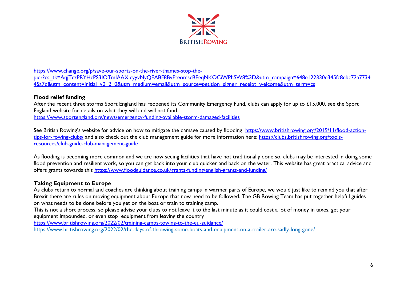

[https://www.change.org/p/save-our-sports-on-the-river-thames-stop-the](https://www.change.org/p/save-our-sports-on-the-river-thames-stop-the-pier?cs_tk=AqjTczPRYHcPS3IOTmIAAXicyyvNyQEABF8BvPteomscBEeqNKOCiWPhSW8%3D&utm_campaign=648e122330e345fc8ebc72a773445a7d&utm_content=initial_v0_2_0&utm_medium=email&utm_source=petition_signer_receipt_welcome&utm_term=cs)[pier?cs\\_tk=AqjTczPRYHcPS3IOTmIAAXicyyvNyQEABF8BvPteomscBEeqNKOCiWPhSW8%3D&utm\\_campaign=648e122330e345fc8ebc72a7734](https://www.change.org/p/save-our-sports-on-the-river-thames-stop-the-pier?cs_tk=AqjTczPRYHcPS3IOTmIAAXicyyvNyQEABF8BvPteomscBEeqNKOCiWPhSW8%3D&utm_campaign=648e122330e345fc8ebc72a773445a7d&utm_content=initial_v0_2_0&utm_medium=email&utm_source=petition_signer_receipt_welcome&utm_term=cs) [45a7d&utm\\_content=initial\\_v0\\_2\\_0&utm\\_medium=email&utm\\_source=petition\\_signer\\_receipt\\_welcome&utm\\_term=cs](https://www.change.org/p/save-our-sports-on-the-river-thames-stop-the-pier?cs_tk=AqjTczPRYHcPS3IOTmIAAXicyyvNyQEABF8BvPteomscBEeqNKOCiWPhSW8%3D&utm_campaign=648e122330e345fc8ebc72a773445a7d&utm_content=initial_v0_2_0&utm_medium=email&utm_source=petition_signer_receipt_welcome&utm_term=cs)

#### **Flood relief funding**

After the recent three storms Sport England has reopened its Community Emergency Fund, clubs can apply for up to £15,000, see the Sport England website for details on what they will and will not fund.

<https://www.sportengland.org/news/emergency-funding-available-storm-damaged-facilities>

See British Rowing's website for advice on how to mitigate the damage caused by flooding [https://www.britishrowing.org/2019/11/flood-action](https://www.britishrowing.org/2019/11/flood-action-tips-for-rowing-clubs/)[tips-for-rowing-clubs/](https://www.britishrowing.org/2019/11/flood-action-tips-for-rowing-clubs/) and also check out the club management guide for more information here: [https://clubs.britishrowing.org/tools](https://clubs.britishrowing.org/tools-resources/club-guide-club-management-guide)[resources/club-guide-club-management-guide](https://clubs.britishrowing.org/tools-resources/club-guide-club-management-guide)

As flooding is becoming more common and we are now seeing facilities that have not traditionally done so, clubs may be interested in doing some flood prevention and resilient work, so you can get back into your club quicker and back on the water. This website has great practical advice and offers grants towards this<https://www.floodguidance.co.uk/grants-funding/english-grants-and-funding/>

#### **Taking Equipment to Europe**

As clubs return to normal and coaches are thinking about training camps in warmer parts of Europe, we would just like to remind you that after Brexit there are rules on moving equipment about Europe that now need to be followed. The GB Rowing Team has put together helpful guides on what needs to be done before you get on the boat or train to training camp.

This is not a short process, so please advise your clubs to not leave it to the last minute as it could cost a lot of money in taxes, get your equipment impounded, or even stop equipment from leaving the country

<https://www.britishrowing.org/2022/02/training-camps-towing-to-the-eu-guidance/>

<https://www.britishrowing.org/2022/02/the-days-of-throwing-some-boats-and-equipment-on-a-trailer-are-sadly-long-gone/>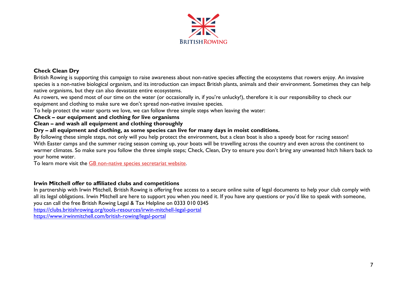

#### **Check Clean Dry**

British Rowing is supporting this campaign to raise awareness about non-native species affecting the ecosystems that rowers enjoy. An invasive species is a non-native biological organism, and its introduction can impact British plants, animals and their environment. Sometimes they can help native organisms, but they can also devastate entire ecosystems.

As rowers, we spend most of our time on the water (or occasionally in, if you're unlucky!), therefore it is our responsibility to check our equipment and clothing to make sure we don't spread non-native invasive species.

To help protect the water sports we love, we can follow three simple steps when leaving the water:

**Check – our equipment and clothing for live organisms**

**Clean – and wash all equipment and clothing thoroughly**

**Dry – all equipment and clothing, as some species can live for many days in moist conditions.**

By following these simple steps, not only will you help protect the environment, but a clean boat is also a speedy boat for racing season! With Easter camps and the summer racing season coming up, your boats will be travelling across the country and even across the continent to warmer climates. So make sure you follow the three simple steps; Check, Clean, Dry to ensure you don't bring any unwanted hitch hikers back to your home water.

To learn more visit the [GB non-native species secretariat website.](http://www.nonnativespecies.org/checkcleandry)

#### **Irwin Mitchell offer to affiliated clubs and competitions**

In partnership with Irwin Mitchell, British Rowing is offering free access to a secure online suite of legal documents to help your club comply with all its legal obligations. Irwin Mitchell are here to support you when you need it. If you have any questions or you'd like to speak with someone, you can call the free British Rowing Legal & Tax Helpline on 0333 010 0345

<https://clubs.britishrowing.org/tools-resources/irwin-mitchell-legal-portal> <https://www.irwinmitchell.com/british-rowing/legal-portal>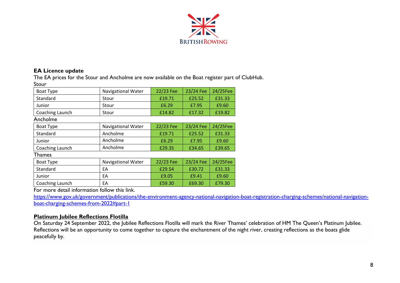

#### **EA Licence update**

The EA prices for the Stour and Ancholme are now available on the Boat register part of ClubHub. Stour

| <b>Boat Type</b> | <b>Navigational Water</b> | 22/23 Fee        | 23/24 Fee        | 24/25Fee |  |  |  |
|------------------|---------------------------|------------------|------------------|----------|--|--|--|
| Standard         | Stour                     | £19.71           | £25.52           | £31.33   |  |  |  |
| Junior           | Stour                     | £6.29            | £7.95            | £9.60    |  |  |  |
| Coaching Launch  | Stour                     | £14.82           | £17.32           | £19.82   |  |  |  |
| Ancholme         |                           |                  |                  |          |  |  |  |
| <b>Boat Type</b> | <b>Navigational Water</b> | 22/23 Fee        | 23/24 Fee        | 24/25Fee |  |  |  |
| Standard         | Ancholme                  | £19.71           | £25.52           | £31.33   |  |  |  |
| Junior           | Ancholme                  | £6.29            | £7.95            | £9.60    |  |  |  |
| Coaching Launch  | Ancholme                  | £29.35           | £34.65           | £39.65   |  |  |  |
| Thames           |                           |                  |                  |          |  |  |  |
| Boat Type        | <b>Navigational Water</b> | 22/23 Fee        | 23/24 Fee        | 24/25Fee |  |  |  |
| Standard         | EA                        | £29.54<br>£30.72 |                  | £31.33   |  |  |  |
| Junior           | EA                        | £9.41<br>£9.05   |                  | £9.60    |  |  |  |
| Coaching Launch  | EA                        | £59.30           | £69.30<br>£79.30 |          |  |  |  |

For more detail information follow this link.

[https://www.gov.uk/government/publications/the-environment-agency-national-navigation-boat-registration-charging-schemes/national-navigation](https://www.gov.uk/government/publications/the-environment-agency-national-navigation-boat-registration-charging-schemes/national-navigation-boat-charging-schemes-from-2022#part-1)[boat-charging-schemes-from-2022#part-1](https://www.gov.uk/government/publications/the-environment-agency-national-navigation-boat-registration-charging-schemes/national-navigation-boat-charging-schemes-from-2022#part-1)

#### **Platinum Jubilee Reflections Flotilla**

On Saturday 24 September 2022, the Jubilee Reflections Flotilla will mark the River Thames' celebration of HM The Queen's Platinum Jubilee. Reflections will be an opportunity to come together to capture the enchantment of the night river, creating reflections as the boats glide peacefully by.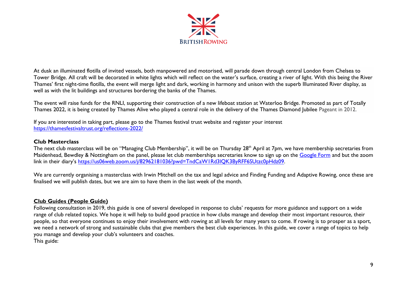

At dusk an illuminated flotilla of invited vessels, both manpowered and motorised, will parade down through central London from Chelsea to Tower Bridge. All craft will be decorated in white lights which will reflect on the water's surface, creating a river of light. With this being the River Thames' first night-time flotilla, the event will merge light and dark, working in harmony and unison with the superb Illuminated River display, as well as with the lit buildings and structures bordering the banks of the Thames.

The event will raise funds for the RNLI, supporting their construction of a new lifeboat station at Waterloo Bridge. Promoted as part of Totally Thames 2022, it is being created by Thames Alive who played a central role in the delivery of the Thames Diamond Jubilee Pageant in 2012.

If you are interested in taking part, please go to the Thames festival trust website and register your interest <https://thamesfestivaltrust.org/reflections-2022/>

#### **Club Masterclass**

The next club masterclass will be on "Managing Club Membership", it will be on Thursday 28<sup>th</sup> April at 7pm, we have membership secretaries from Maidenhead, Bewdley & Nottingham on the panel, please let club memberships secretaries know to sign up on the [Google Form](https://forms.gle/sfAX6R28EKtuE9JB7) and but the zoom link in their diary's [https://us06web.zoom.us/j/82962181036?pwd=TndCaW1Rd3lQK3ByRFF6SUtzc0pHdz09.](https://us06web.zoom.us/j/82962181036?pwd=TndCaW1Rd3lQK3ByRFF6SUtzc0pHdz09)

We are currently organising a masterclass with Irwin Mitchell on the tax and legal advice and Finding Funding and Adaptive Rowing, once these are finalised we will publish dates, but we are aim to have them in the last week of the month.

#### **Club Guides (People Guide)**

Following consultation in 2019, this guide is one of several developed in response to clubs' requests for more guidance and support on a wide range of club related topics. We hope it will help to build good practice in how clubs manage and develop their most important resource, their people, so that everyone continues to enjoy their involvement with rowing at all levels for many years to come. If rowing is to prosper as a sport, we need a network of strong and sustainable clubs that give members the best club experiences. In this guide, we cover a range of topics to help you manage and develop your club's volunteers and coaches. This guide: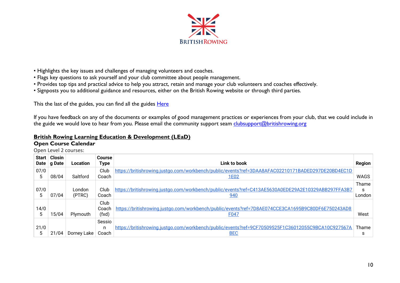

- Highlights the key issues and challenges of managing volunteers and coaches.
- Flags key questions to ask yourself and your club committee about people management.
- Provides top tips and practical advice to help you attract, retain and manage your club volunteers and coaches effectively.
- Signposts you to additional guidance and resources, either on the British Rowing website or through third parties.

This the last of the guides, you can find all the guides [Here](https://www.britishrowing.org/knowledge/club-support/club-guides/)

If you have feedback on any of the documents or examples of good management practices or experiences from your club, that we could include in the guide we would love to hear from you. Please email the community support seam [clubsupport@britishrowing.org](mailto:clubsupport@britishrowing.org)

# **British Rowing Learning Education & Development (LEaD)**

## **Open Course Calendar**

Open Level 2 courses:

| Start  <br>Date | Closin<br>g Date | <b>Location</b>  | ⊦Course<br>Type        | Link to book                                                                                                     | Region               |
|-----------------|------------------|------------------|------------------------|------------------------------------------------------------------------------------------------------------------|----------------------|
| 07/0<br>5       | 08/04            | Saltford         | Club<br>Coach          | https://britishrowing.justgo.com/workbench/public/events?ref=3DAA8AFAC02210171BADED297DE20BD4EC1D<br><u>1E02</u> | WAGS                 |
| 07/0<br>5       | 07/04            | London<br>(PTRC) | Club<br>Coach          | https://britishrowing.justgo.com/workbench/public/events?ref=C413AE5630A0EDE29A2E10329ABB297FFA3B7<br><u>940</u> | Thame<br>S<br>London |
| 14/0<br>5       | 15/04            | Plymouth         | Club<br>Coach<br>(fxd) | https://britishrowing.justgo.com/workbench/public/events?ref=7D8AE074CCE3CA1695B9C80DF6E750243AD8<br>F047        | West                 |
| 21/0<br>5       | 21/04            | Dorney Lake      | Sessio<br>n<br>Coach   | https://britishrowing.justgo.com/workbench/public/events?ref=9CF70509525F1C36012055C9BCA10C927567A<br><b>BEC</b> | Thame<br>S           |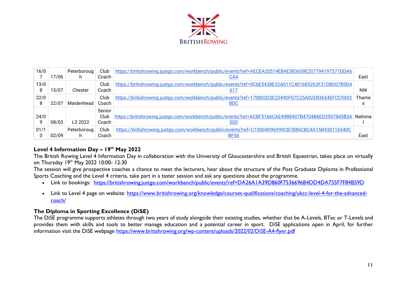

| 16/0      | 17/06 | Peterboroug<br>n. | Club<br>Coach           | https://britishrowing.justgo.com/workbench/public/events?ref=AECEA20514EB4E583659E207794197577DDA6<br><u>CA4</u> | East      |
|-----------|-------|-------------------|-------------------------|------------------------------------------------------------------------------------------------------------------|-----------|
| 13/0<br>8 | 15/07 | Chester           | Club<br>Coach           | https://britishrowing.justgo.com/workbench/public/events?ref=9C6E5438E32A011C401685263F21DB007B9D4<br>617        | <b>NW</b> |
| 22/0      | 22/07 | Maidenhead        | Club<br>Coach           | https://britishrowing.justgo.com/workbench/public/events?ref=170802D3E2349DF07C25A02EB3654EFCC9433<br><b>BDC</b> | Thame     |
| 24/0      | 08/03 | L3 2022           | Senior<br>Club<br>Coach | https://britishrowing.justgo.com/workbench/public/events?ref=ACBF5166CAE49B8407B4704B6ED2907845B3A<br><u>50D</u> | Nationa   |
| 01/1      | 02/09 | Peterboroug<br>h. | Club<br>Coach           | https://britishrowing.justgo.com/workbench/public/events?ref=C19004D96999CB7B86CBC4A15B430116540C<br><b>BF56</b> | East      |

#### **Level 4 Information Day – 19th May 2022**

The British Rowing Level 4 Information Day in collaboration with the University of Gloucestershire and British Equestrian, takes place on virtually on Thursday 19th May 2022 10:00- 12:30

The session will give prospective coaches a chance to meet the lecturers, hear about the structure of the Post Graduate Diploma in Professional Sports Coaching and the Level 4 criteria, take part in a taster session and ask any questions about the programme.

- Link to bookings: <https://britishrowing.justgo.com/workbench/public/events?ref=DA26A1A39D860F7536696B4DD4DA755F7F84B59D>
- Link to Level 4 page on website: [https://www.britishrowing.org/knowledge/courses-qualifications/coaching/ukcc-level-4-for-the-advanced](https://www.britishrowing.org/knowledge/courses-qualifications/coaching/ukcc-level-4-for-the-advanced-coach/)[coach/](https://www.britishrowing.org/knowledge/courses-qualifications/coaching/ukcc-level-4-for-the-advanced-coach/)

### **The Diploma in Sporting Excellence (DiSE)**

The DiSE programme supports athletes through two years of study alongside their existing studies, whether that be A-Levels, BTec or T-Levels and provides them with skills and tools to better manage education and a potential career in sport. DiSE applications open in April, for further information visit the DiSE webpage<https://www.britishrowing.org/wp-content/uploads/2022/02/DiSE-A4-flyer.pdf>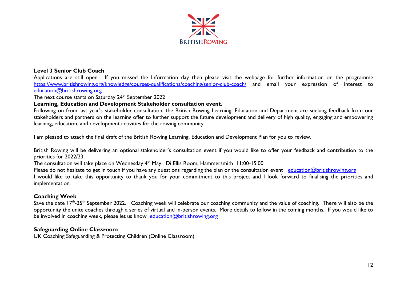

#### **Level 3 Senior Club Coach**

Applications are still open. If you missed the Information day then please visit the webpage for further information on the programme <https://www.britishrowing.org/knowledge/courses-qualifications/coaching/senior-club-coach/> and email your expression of interest to [education@britishrowing.org](mailto:education@britishrowing.org)

The next course starts on Saturday 24<sup>th</sup> September 2022

#### **Learning, Education and Development Stakeholder consultation event.**

Following on from last year's stakeholder consultation, the British Rowing Learning, Education and Department are seeking feedback from our stakeholders and partners on the learning offer to further support the future development and delivery of high quality, engaging and empowering learning, education, and development activities for the rowing community.

I am pleased to attach the final draft of the British Rowing Learning, Education and Development Plan for you to review.

British Rowing will be delivering an optional stakeholder's consultation event if you would like to offer your feedback and contribution to the priorities for 2022/23.

The consultation will take place on Wednesday 4<sup>th</sup> May. Di Ellis Room, Hammersmith 11:00-15:00

Please do not hesitate to get in touch if you have any questions regarding the plan or the consultation event [education@britishrowing.org](mailto:education@britishrowing.org)

I would like to take this opportunity to thank you for your commitment to this project and I look forward to finalising the priorities and implementation.

#### **Coaching Week**

Save the date 17<sup>th</sup>-25<sup>th</sup> September 2022. Coaching week will celebrate our coaching community and the value of coaching. There will also be the opportunity the unite coaches through a series of virtual and in-person events. More details to follow in the coming months. If you would like to be involved in coaching week, please let us know [education@britishrowing.org](mailto:education@britishrowing.org)

#### **Safeguarding Online Classroom**

UK Coaching Safeguarding & Protecting Children (Online Classroom)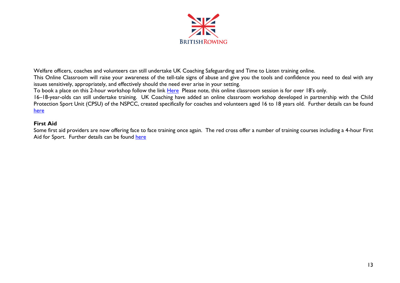

Welfare officers, coaches and volunteers can still undertake UK Coaching Safeguarding and Time to Listen training online.

This Online Classroom will raise your awareness of the tell-tale signs of abuse and give you the tools and confidence you need to deal with any issues sensitively, appropriately, and effectively should the need ever arise in your setting.

To book a place on this 2-hour workshop follow the link [Here](https://www.ukcoaching.org/courses/search?query=Online%20classroom&distance=25&order=relevant&bookableonly=false)Please note, this online classroom session is for over 18's only.

16–18-year-olds can still undertake training. UK Coaching have added an online classroom workshop developed in partnership with the Child Protection Sport Unit (CPSU) of the NSPCC, created specifically for coaches and volunteers aged 16 to 18 years old. Further details can be found [here](https://www.ukcoaching.org/courses/workshops/safeguarding-protecting-children-16-18-online-clas)

#### **First Aid**

Some first aid providers are now offering face to face training once again. The red cross offer a number of training courses including a 4-hour First Aid for Sport. Further details can be found [here](https://www.redcrossfirstaidtraining.co.uk/what-we-do/first-aid-for-sports/?gclsrc=aw.ds&&utm_term=first%20aid%20training&utm_campaign=First+Aid+General+%7C+Exact&utm_source=adwords&utm_medium=ppc&hsa_acc=3392434821&hsa_cam=8162067250&hsa_grp=86041544362&hsa_ad=431671853758&hsa_src=g&hsa_tgt=kwd-45140630&hsa_kw=first%20aid%20training&hsa_mt=e&hsa_net=adwords&hsa_ver=3&gclid=Cj0KCQjw-O35BRDVARIsAJU5mQXfO3B74ZiD2AiZl1siZfD8QgtTO79s3n0YYYDo-JnfjZhpIQ0qX8waAsC2EALw_wcB)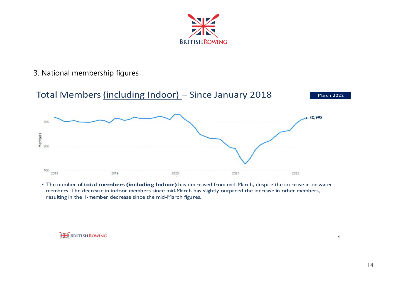

# 3. National membership figures



• The number of total members (including Indoor) has decreased from mid-March, despite the increase in on water members. The decrease in indoor members since mid-March has slightly outpaced the increase in other members, resulting in the 1-member decrease since the mid-March figures.

**BRITISH ROWING** 

 $\overline{\mathbf{4}}$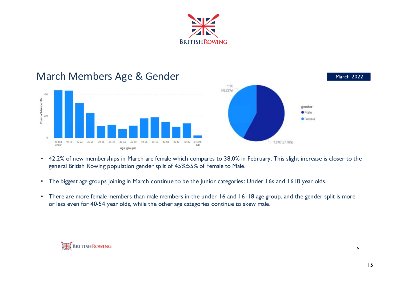



- 42.2% of new memberships in March are female which compares to 38.0% in February. This slight increase is closer to the general British Rowing population gender split of 45%:55% of Female to Male.
- The biggest age groups joining in March continue to be the Junior categories: Under 16s and 1618 year olds.
- There are more female members than male members in the under 16 and 16-18 age group, and the gender split is more or less even for 40-54 year olds, while the other age categories continue to skew male.

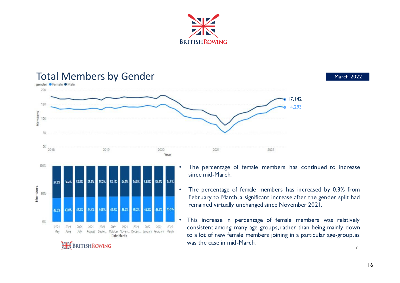



45.2% 45.5%

2022

2022

44.9%

2021

Date Month

45.2%

2021

45.2%

2021

August Septe... October Novem... Decem... January February March

45.2%

2022

50%

O%

43.6%

2021

June

2021

May

44.2%

2021

July

44.4%

2021

**BRITISH ROWING** 

44.8%

2021

## • The percentage of female members has increased by 0.3% from February to March, <sup>a</sup> significant increase after the gender split had remained virtually unchanged since November 2021.

 This increase in percentage of female members was relatively consistent among many age groups,rather than being mainly down to a lot of new female members joining in a particular age-group, as was the case in mid-March.  $\overline{7}$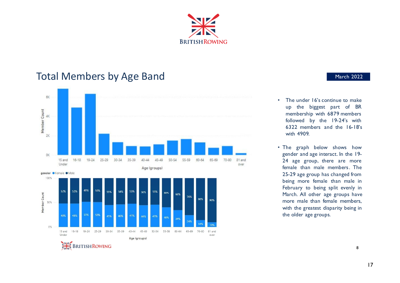

# Total Members by Age Band<br>
March 2022





- $\cdot$  The under  $16$ 's continue to make up the biggest part of BR membership with 6879 members followed by the 19-24's with  $6322$  members and the  $16-18$ 's with 4909.
- The graph below shows how gender and age interact. In the 19-24 age group, there are more female than male members. The 25-29 age group has changed from being more female than male in February to being split evenly in March. All other age groups have more male than female members, with the greatest disparity being in the older age groups.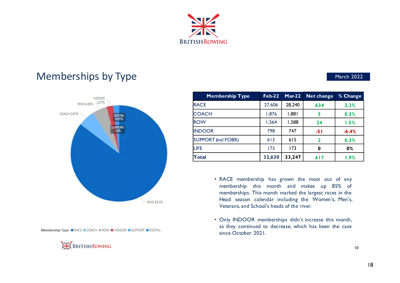

# Memberships by Type and the contract of the March 2022



Membership Type @ RACE @ COACH @ ROW @ INDOOR @ SUPPORT @ DIGITAL



| <b>Membership Type</b>    | $Feb-22$ | $Mar-22$ | <b>Net change</b> | % Change |
|---------------------------|----------|----------|-------------------|----------|
| <b>RACE</b>               | 27,606   | 28,240   | 634               | 2.3%     |
| <b>COACH</b>              | 1,876    | 1,881    | 5                 | 0.3%     |
| <b>ROW</b>                | 1,564    | 1,588    | 24                | 1.5%     |
| <b>INDOOR</b>             | 798      | 747      | $-51$             | $-6.4%$  |
| <b>SUPPORT (ncl FOBR)</b> | 613      | 615      | 2                 | 0.3%     |
| LIFE                      | 173      | 173      | 0                 | 0%       |
| <b>Total</b>              | 32,630   | 33,247   | 617               | 1.9%     |

- RACE membership has grown the most out of any membership this month and makes up 85% of memberships. This month marked the largest races in the Head season calendar including the Women's, Men's, Veterans, and School's heads of the river.
- Only INDOOR memberships didn't increase this month, as they continued to decrease, which has been the case since October 2021.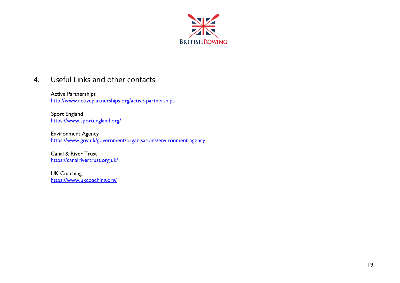

# 4. Useful Links and other contacts

Active Partnerships <http://www.activepartnerships.org/active-partnerships>

 Sport England <https://www.sportengland.org/>

Environment Agency <https://www.gov.uk/government/organisations/environment-agency>

Canal & River Trust <https://canalrivertrust.org.uk/>

UK Coaching <https://www.ukcoaching.org/>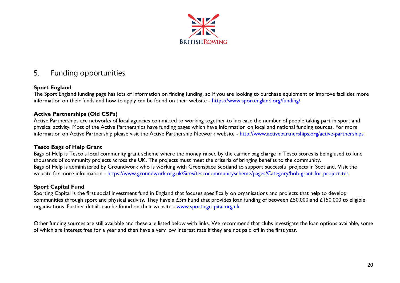

# 5. Funding opportunities

#### **Sport England**

The Sport England funding page has lots of information on finding funding, so if you are looking to purchase equipment or improve facilities more information on their funds and how to apply can be found on their website - https://www.sportengland.org/funding/

#### **Active Partnerships (Old CSPs)**

Active Partnerships are networks of local agencies committed to working together to increase the number of people taking part in sport and physical activity. Most of the Active Partnerships have funding pages which have information on local and national funding sources. For more information on Active Partnership please visit the Active Partnership Network website - <http://www.activepartnerships.org/active-partnerships>

#### **Tesco Bags of Help Grant**

Bags of Help is Tesco's local community grant scheme where the money raised by the carrier bag charge in Tesco stores is being used to fund thousands of community projects across the UK. The projects must meet the criteria of bringing benefits to the community. Bags of Help is administered by Groundwork who is working with Greenspace Scotland to support successful projects in Scotland. Visit the website for more information - https://www.groundwork.org.uk/Sites/tescocommunityscheme/pages/Category/boh-grant-for-project-tes

#### **Sport Capital Fund**

Sporting Capital is the first social investment fund in England that focuses specifically on organisations and projects that help to develop communities through sport and physical activity. They have a £3m Fund that provides loan funding of between £50,000 and £150,000 to eligible organisations. Further details can be found on their website - [www.sportingcapital.org.uk](http://www.sportingcapital.org.uk/)

Other funding sources are still available and these are listed below with links. We recommend that clubs investigate the loan options available, some of which are interest free for a year and then have a very low interest rate if they are not paid off in the first year.